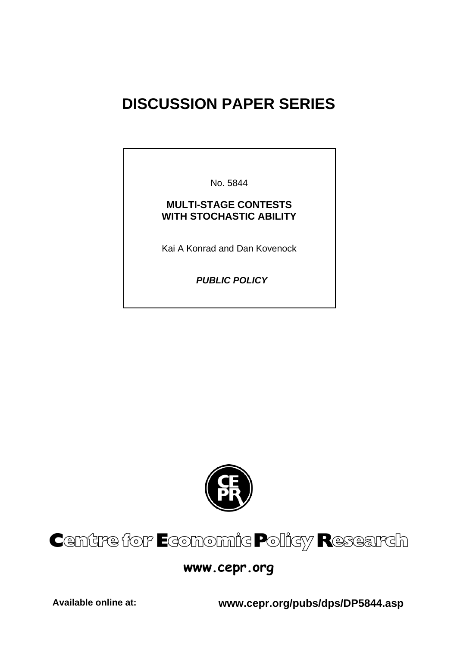# **DISCUSSION PAPER SERIES**

No. 5844

#### **MULTI-STAGE CONTESTS WITH STOCHASTIC ABILITY**

Kai A Konrad and Dan Kovenock

 *PUBLIC POLICY* 



# Centre for Economic Policy Research

# **www.cepr.org**

**Available online at: www.cepr.org/pubs/dps/DP5844.asp**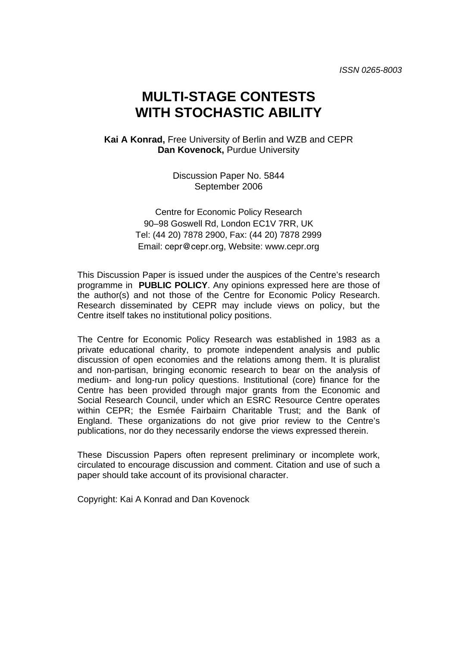# **MULTI-STAGE CONTESTS WITH STOCHASTIC ABILITY**

**Kai A Konrad,** Free University of Berlin and WZB and CEPR **Dan Kovenock,** Purdue University

> Discussion Paper No. 5844 September 2006

Centre for Economic Policy Research 90–98 Goswell Rd, London EC1V 7RR, UK Tel: (44 20) 7878 2900, Fax: (44 20) 7878 2999 Email: cepr@cepr.org, Website: www.cepr.org

This Discussion Paper is issued under the auspices of the Centre's research programme in **PUBLIC POLICY**. Any opinions expressed here are those of the author(s) and not those of the Centre for Economic Policy Research. Research disseminated by CEPR may include views on policy, but the Centre itself takes no institutional policy positions.

The Centre for Economic Policy Research was established in 1983 as a private educational charity, to promote independent analysis and public discussion of open economies and the relations among them. It is pluralist and non-partisan, bringing economic research to bear on the analysis of medium- and long-run policy questions. Institutional (core) finance for the Centre has been provided through major grants from the Economic and Social Research Council, under which an ESRC Resource Centre operates within CEPR; the Esmée Fairbairn Charitable Trust; and the Bank of England. These organizations do not give prior review to the Centre's publications, nor do they necessarily endorse the views expressed therein.

These Discussion Papers often represent preliminary or incomplete work, circulated to encourage discussion and comment. Citation and use of such a paper should take account of its provisional character.

Copyright: Kai A Konrad and Dan Kovenock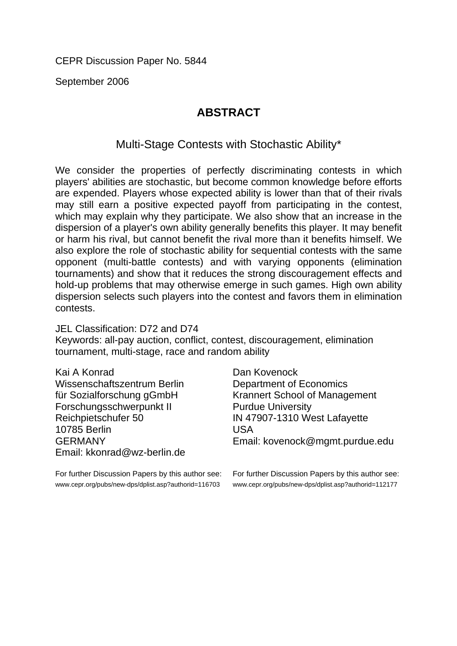September 2006

## **ABSTRACT**

### Multi-Stage Contests with Stochastic Ability\*

We consider the properties of perfectly discriminating contests in which players' abilities are stochastic, but become common knowledge before efforts are expended. Players whose expected ability is lower than that of their rivals may still earn a positive expected payoff from participating in the contest, which may explain why they participate. We also show that an increase in the dispersion of a player's own ability generally benefits this player. It may benefit or harm his rival, but cannot benefit the rival more than it benefits himself. We also explore the role of stochastic ability for sequential contests with the same opponent (multi-battle contests) and with varying opponents (elimination tournaments) and show that it reduces the strong discouragement effects and hold-up problems that may otherwise emerge in such games. High own ability dispersion selects such players into the contest and favors them in elimination contests.

#### JEL Classification: D72 and D74

Keywords: all-pay auction, conflict, contest, discouragement, elimination tournament, multi-stage, race and random ability

| Kai A Konrad                | Dan Kovenock                         |
|-----------------------------|--------------------------------------|
| Wissenschaftszentrum Berlin | <b>Department of Economics</b>       |
| für Sozialforschung gGmbH   | <b>Krannert School of Management</b> |
| Forschungsschwerpunkt II    | <b>Purdue University</b>             |
| Reichpietschufer 50         | IN 47907-1310 West Lafayette         |
| 10785 Berlin                | <b>USA</b>                           |
| <b>GERMANY</b>              | Email: kovenock@mgmt.purdue.edu      |
| Email: kkonrad@wz-berlin.de |                                      |

For further Discussion Papers by this author see: www.cepr.org/pubs/new-dps/dplist.asp?authorid=116703

For further Discussion Papers by this author see: www.cepr.org/pubs/new-dps/dplist.asp?authorid=112177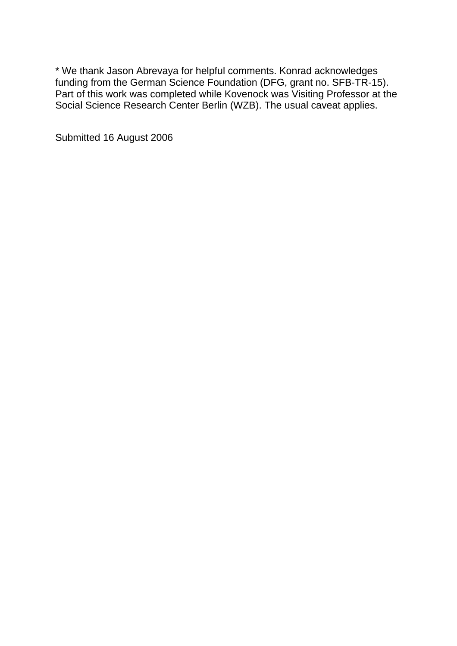\* We thank Jason Abrevaya for helpful comments. Konrad acknowledges funding from the German Science Foundation (DFG, grant no. SFB-TR-15). Part of this work was completed while Kovenock was Visiting Professor at the Social Science Research Center Berlin (WZB). The usual caveat applies.

Submitted 16 August 2006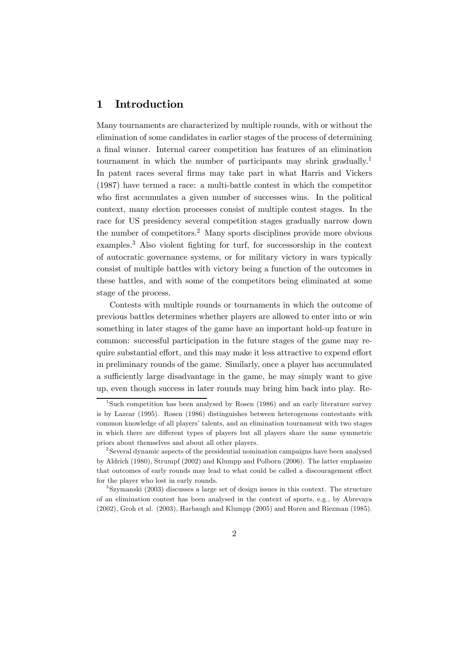#### 1 Introduction

Many tournaments are characterized by multiple rounds, with or without the elimination of some candidates in earlier stages of the process of determining a final winner. Internal career competition has features of an elimination tournament in which the number of participants may shrink gradually.<sup>1</sup> In patent races several firms may take part in what Harris and Vickers (1987) have termed a race: a multi-battle contest in which the competitor who first accumulates a given number of successes wins. In the political context, many election processes consist of multiple contest stages. In the race for US presidency several competition stages gradually narrow down the number of competitors.2 Many sports disciplines provide more obvious examples.3 Also violent fighting for turf, for successorship in the context of autocratic governance systems, or for military victory in wars typically consist of multiple battles with victory being a function of the outcomes in these battles, and with some of the competitors being eliminated at some stage of the process.

Contests with multiple rounds or tournaments in which the outcome of previous battles determines whether players are allowed to enter into or win something in later stages of the game have an important hold-up feature in common: successful participation in the future stages of the game may require substantial effort, and this may make it less attractive to expend effort in preliminary rounds of the game. Similarly, once a player has accumulated a sufficiently large disadvantage in the game, he may simply want to give up, even though success in later rounds may bring him back into play. Re-

<sup>&</sup>lt;sup>1</sup>Such competition has been analysed by Rosen  $(1986)$  and an early literature survey is by Lazear (1995). Rosen (1986) distinguishes between heterogenous contestants with common knowledge of all players' talents, and an elimination tournament with two stages in which there are different types of players but all players share the same symmetric priors about themselves and about all other players.

<sup>2</sup>Several dynamic aspects of the presidential nomination campaigns have been analysed by Aldrich (1980), Strumpf (2002) and Klumpp and Polborn (2006). The latter emphasize that outcomes of early rounds may lead to what could be called a discouragement effect for the player who lost in early rounds.

<sup>3</sup>Szymanski (2003) discusses a large set of design issues in this context. The structure of an elimination contest has been analysed in the context of sports, e.g., by Abrevaya (2002), Groh et al. (2003), Harbaugh and Klumpp (2005) and Horen and Riezman (1985).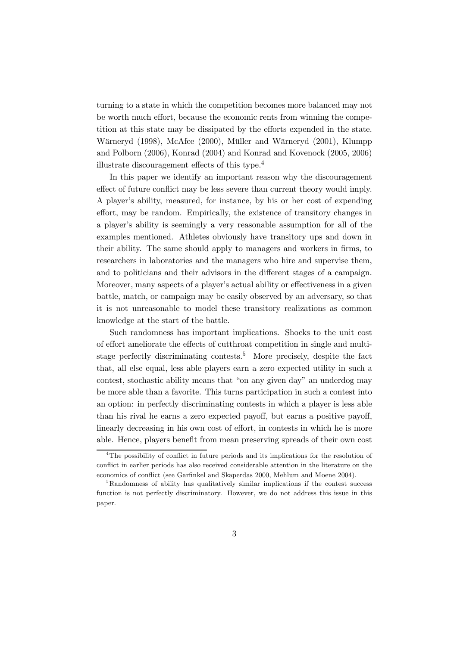turning to a state in which the competition becomes more balanced may not be worth much effort, because the economic rents from winning the competition at this state may be dissipated by the efforts expended in the state. Wärneryd (1998), McAfee (2000), Müller and Wärneryd (2001), Klumpp and Polborn (2006), Konrad (2004) and Konrad and Kovenock (2005, 2006) illustrate discouragement effects of this type.4

In this paper we identify an important reason why the discouragement effect of future conflict may be less severe than current theory would imply. A player's ability, measured, for instance, by his or her cost of expending effort, may be random. Empirically, the existence of transitory changes in a player's ability is seemingly a very reasonable assumption for all of the examples mentioned. Athletes obviously have transitory ups and down in their ability. The same should apply to managers and workers in firms, to researchers in laboratories and the managers who hire and supervise them, and to politicians and their advisors in the different stages of a campaign. Moreover, many aspects of a player's actual ability or effectiveness in a given battle, match, or campaign may be easily observed by an adversary, so that it is not unreasonable to model these transitory realizations as common knowledge at the start of the battle.

Such randomness has important implications. Shocks to the unit cost of effort ameliorate the effects of cutthroat competition in single and multistage perfectly discriminating contests.<sup>5</sup> More precisely, despite the fact that, all else equal, less able players earn a zero expected utility in such a contest, stochastic ability means that "on any given day" an underdog may be more able than a favorite. This turns participation in such a contest into an option: in perfectly discriminating contests in which a player is less able than his rival he earns a zero expected payoff, but earns a positive payoff, linearly decreasing in his own cost of effort, in contests in which he is more able. Hence, players benefit from mean preserving spreads of their own cost

<sup>&</sup>lt;sup>4</sup>The possibility of conflict in future periods and its implications for the resolution of conflict in earlier periods has also received considerable attention in the literature on the economics of conflict (see Garfinkel and Skaperdas 2000, Mehlum and Moene 2004).

<sup>&</sup>lt;sup>5</sup>Randomness of ability has qualitatively similar implications if the contest success function is not perfectly discriminatory. However, we do not address this issue in this paper.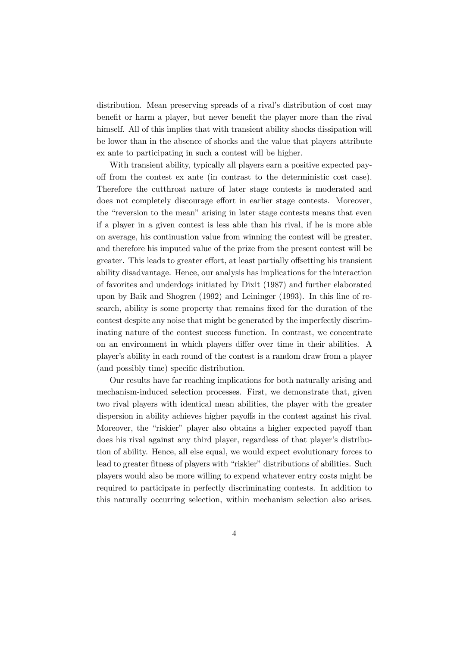distribution. Mean preserving spreads of a rival's distribution of cost may benefit or harm a player, but never benefit the player more than the rival himself. All of this implies that with transient ability shocks dissipation will be lower than in the absence of shocks and the value that players attribute ex ante to participating in such a contest will be higher.

With transient ability, typically all players earn a positive expected payoff from the contest ex ante (in contrast to the deterministic cost case). Therefore the cutthroat nature of later stage contests is moderated and does not completely discourage effort in earlier stage contests. Moreover, the "reversion to the mean" arising in later stage contests means that even if a player in a given contest is less able than his rival, if he is more able on average, his continuation value from winning the contest will be greater, and therefore his imputed value of the prize from the present contest will be greater. This leads to greater effort, at least partially offsetting his transient ability disadvantage. Hence, our analysis has implications for the interaction of favorites and underdogs initiated by Dixit (1987) and further elaborated upon by Baik and Shogren (1992) and Leininger (1993). In this line of research, ability is some property that remains fixed for the duration of the contest despite any noise that might be generated by the imperfectly discriminating nature of the contest success function. In contrast, we concentrate on an environment in which players differ over time in their abilities. A player's ability in each round of the contest is a random draw from a player (and possibly time) specific distribution.

Our results have far reaching implications for both naturally arising and mechanism-induced selection processes. First, we demonstrate that, given two rival players with identical mean abilities, the player with the greater dispersion in ability achieves higher payoffs in the contest against his rival. Moreover, the "riskier" player also obtains a higher expected payoff than does his rival against any third player, regardless of that player's distribution of ability. Hence, all else equal, we would expect evolutionary forces to lead to greater fitness of players with "riskier" distributions of abilities. Such players would also be more willing to expend whatever entry costs might be required to participate in perfectly discriminating contests. In addition to this naturally occurring selection, within mechanism selection also arises.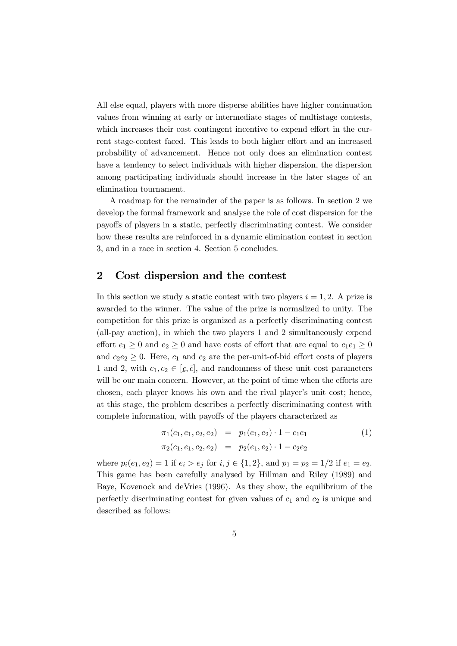All else equal, players with more disperse abilities have higher continuation values from winning at early or intermediate stages of multistage contests, which increases their cost contingent incentive to expend effort in the current stage-contest faced. This leads to both higher effort and an increased probability of advancement. Hence not only does an elimination contest have a tendency to select individuals with higher dispersion, the dispersion among participating individuals should increase in the later stages of an elimination tournament.

A roadmap for the remainder of the paper is as follows. In section 2 we develop the formal framework and analyse the role of cost dispersion for the payoffs of players in a static, perfectly discriminating contest. We consider how these results are reinforced in a dynamic elimination contest in section 3, and in a race in section 4. Section 5 concludes.

#### 2 Cost dispersion and the contest

In this section we study a static contest with two players  $i = 1, 2$ . A prize is awarded to the winner. The value of the prize is normalized to unity. The competition for this prize is organized as a perfectly discriminating contest (all-pay auction), in which the two players 1 and 2 simultaneously expend effort  $e_1 \geq 0$  and  $e_2 \geq 0$  and have costs of effort that are equal to  $c_1e_1 \geq 0$ and  $c_2e_2 \geq 0$ . Here,  $c_1$  and  $c_2$  are the per-unit-of-bid effort costs of players 1 and 2, with  $c_1, c_2 \in [c, \bar{c}]$ , and randomness of these unit cost parameters will be our main concern. However, at the point of time when the efforts are chosen, each player knows his own and the rival player's unit cost; hence, at this stage, the problem describes a perfectly discriminating contest with complete information, with payoffs of the players characterized as

$$
\pi_1(c_1, e_1, c_2, e_2) = p_1(e_1, e_2) \cdot 1 - c_1 e_1
$$
  
\n
$$
\pi_2(c_1, e_1, c_2, e_2) = p_2(e_1, e_2) \cdot 1 - c_2 e_2
$$
\n(1)

where  $p_i(e_1, e_2) = 1$  if  $e_i > e_j$  for  $i, j \in \{1, 2\}$ , and  $p_1 = p_2 = 1/2$  if  $e_1 = e_2$ . This game has been carefully analysed by Hillman and Riley (1989) and Baye, Kovenock and deVries (1996). As they show, the equilibrium of the perfectly discriminating contest for given values of  $c_1$  and  $c_2$  is unique and described as follows: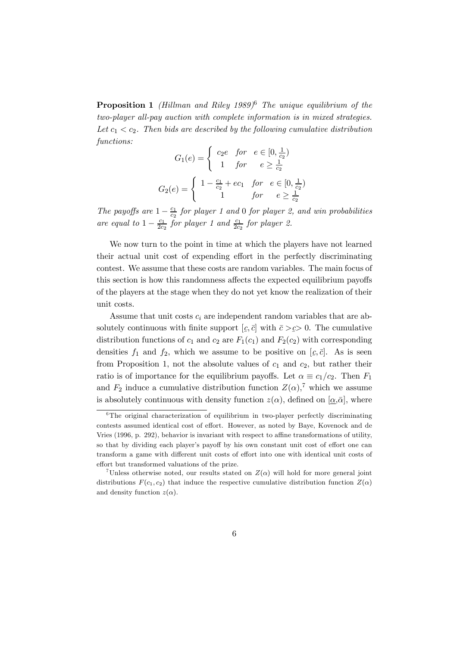**Proposition 1** (Hillman and Riley 1989)<sup>6</sup> The unique equilibrium of the two-player all-pay auction with complete information is in mixed strategies. Let  $c_1 < c_2$ . Then bids are described by the following cumulative distribution functions:

$$
G_1(e) = \begin{cases} c_2e & \text{for } e \in [0, \frac{1}{c_2}) \\ 1 & \text{for } e \ge \frac{1}{c_2} \end{cases}
$$

$$
G_2(e) = \begin{cases} 1 - \frac{c_1}{c_2} + ec_1 & \text{for } e \in [0, \frac{1}{c_2}) \\ 1 & \text{for } e \ge \frac{1}{c_2} \end{cases}
$$

The payoffs are  $1-\frac{c_1}{c_2}$  for player 1 and 0 for player 2, and win probabilities are equal to  $1 - \frac{c_1}{2c_2}$  for player 1 and  $\frac{c_1}{2c_2}$  for player 2.

We now turn to the point in time at which the players have not learned their actual unit cost of expending effort in the perfectly discriminating contest. We assume that these costs are random variables. The main focus of this section is how this randomness affects the expected equilibrium payoffs of the players at the stage when they do not yet know the realization of their unit costs.

Assume that unit costs  $c_i$  are independent random variables that are absolutely continuous with finite support  $[c, \bar{c}]$  with  $\bar{c} > c > 0$ . The cumulative  $\begin{pmatrix} 2 & 5 \\ 1 & 1 \end{pmatrix}$ distribution functions of  $c_1$  and  $c_2$  are  $F_1(c_1)$  and  $F_2(c_2)$  with corresponding densities  $f_1$  and  $f_2$ , which we assume to be positive on  $[c, \bar{c}]$ . As is seen from Proposition 1, not the absolute values of  $c_1$  and  $c_2$ , but rather their ratio is of importance for the equilibrium payoffs. Let  $\alpha \equiv c_1/c_2$ . Then  $F_1$ and  $F_2$  induce a cumulative distribution function  $Z(\alpha)$ ,<sup>7</sup> which we assume is absolutely continuous with density function  $z(\alpha)$ , defined on  $[\alpha,\bar{\alpha}]$ , where

 ${}^{6}$ The original characterization of equilibrium in two-player perfectly discriminating contests assumed identical cost of effort. However, as noted by Baye, Kovenock and de Vries (1996, p. 292), behavior is invariant with respect to affine transformations of utility, so that by dividing each player's payoff by his own constant unit cost of effort one can transform a game with different unit costs of effort into one with identical unit costs of effort but transformed valuations of the prize.

<sup>&</sup>lt;sup>7</sup>Unless otherwise noted, our results stated on  $Z(\alpha)$  will hold for more general joint distributions  $F(c_1, c_2)$  that induce the respective cumulative distribution function  $Z(\alpha)$ and density function  $z(\alpha)$ .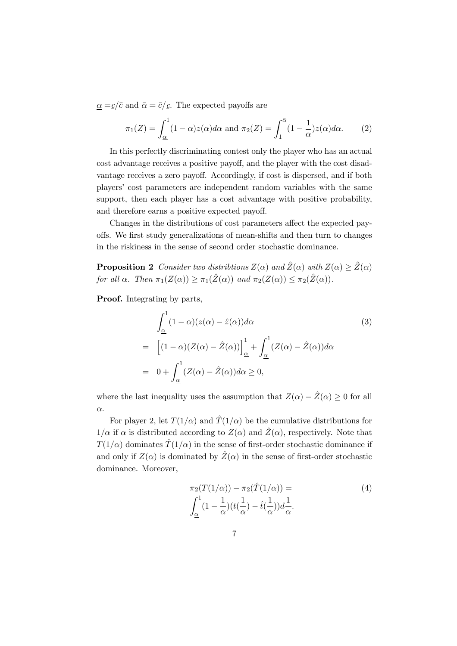$\underline{\alpha} = \underline{c}/\overline{c}$  and  $\overline{\alpha} = \overline{c}/\underline{c}$ . The expected payoffs are

$$
\pi_1(Z) = \int_{\underline{\alpha}}^1 (1 - \alpha) z(\alpha) d\alpha \text{ and } \pi_2(Z) = \int_1^{\bar{\alpha}} (1 - \frac{1}{\alpha}) z(\alpha) d\alpha. \tag{2}
$$

In this perfectly discriminating contest only the player who has an actual cost advantage receives a positive payoff, and the player with the cost disadvantage receives a zero payoff. Accordingly, if cost is dispersed, and if both players' cost parameters are independent random variables with the same support, then each player has a cost advantage with positive probability, and therefore earns a positive expected payoff.

Changes in the distributions of cost parameters affect the expected payoffs. We first study generalizations of mean-shifts and then turn to changes in the riskiness in the sense of second order stochastic dominance.

**Proposition 2** Consider two distribtions  $Z(\alpha)$  and  $\hat{Z}(\alpha)$  with  $Z(\alpha) \geq \hat{Z}(\alpha)$ for all  $\alpha$ . Then  $\pi_1(Z(\alpha)) \geq \pi_1(\hat{Z}(\alpha))$  and  $\pi_2(Z(\alpha)) \leq \pi_2(\hat{Z}(\alpha))$ .

Proof. Integrating by parts,

$$
\int_{\underline{\alpha}}^{1} (1 - \alpha)(z(\alpha) - \hat{z}(\alpha)) d\alpha \qquad (3)
$$
  
= 
$$
\left[ (1 - \alpha)(Z(\alpha) - \hat{Z}(\alpha)) \right]_{\underline{\alpha}}^{1} + \int_{\underline{\alpha}}^{1} (Z(\alpha) - \hat{Z}(\alpha)) d\alpha
$$
  
= 
$$
0 + \int_{\underline{\alpha}}^{1} (Z(\alpha) - \hat{Z}(\alpha)) d\alpha \ge 0,
$$

where the last inequality uses the assumption that  $Z(\alpha) - \hat{Z}(\alpha) \geq 0$  for all α.

For player 2, let  $T(1/\alpha)$  and  $\hat{T}(1/\alpha)$  be the cumulative distributions for  $1/\alpha$  if  $\alpha$  is distributed according to  $Z(\alpha)$  and  $\hat{Z}(\alpha)$ , respectively. Note that  $T(1/\alpha)$  dominates  $\hat{T}(1/\alpha)$  in the sense of first-order stochastic dominance if and only if  $Z(\alpha)$  is dominated by  $\hat{Z}(\alpha)$  in the sense of first-order stochastic dominance. Moreover,

$$
\pi_2(T(1/\alpha)) - \pi_2(\hat{T}(1/\alpha)) =
$$
\n
$$
\int_{\underline{\alpha}}^1 (1 - \frac{1}{\alpha})(t(\frac{1}{\alpha}) - \hat{t}(\frac{1}{\alpha}))d\frac{1}{\alpha}.
$$
\n(4)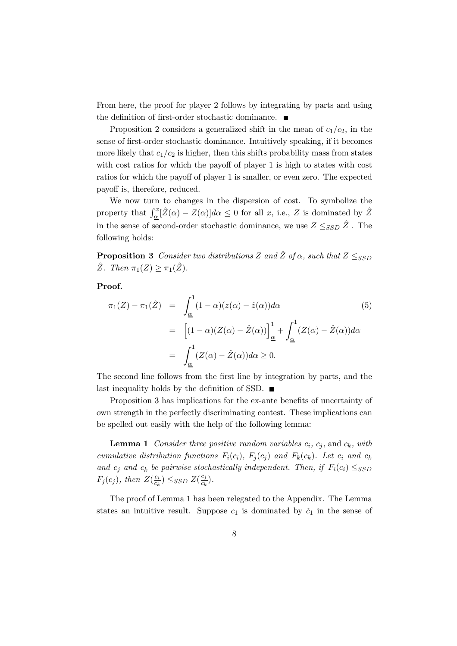From here, the proof for player 2 follows by integrating by parts and using the definition of first-order stochastic dominance.  $\blacksquare$ 

Proposition 2 considers a generalized shift in the mean of  $c_1/c_2$ , in the sense of first-order stochastic dominance. Intuitively speaking, if it becomes more likely that  $c_1/c_2$  is higher, then this shifts probability mass from states with cost ratios for which the payoff of player 1 is high to states with cost ratios for which the payoff of player 1 is smaller, or even zero. The expected payoff is, therefore, reduced.

We now turn to changes in the dispersion of cost. To symbolize the property that  $\int_{\underline{\alpha}}^x [\hat{Z}(\alpha) - Z(\alpha)] d\alpha \leq 0$  for all x, i.e., Z is dominated by  $\hat{Z}$ in the sense of second-order stochastic dominance, we use  $Z \leq_{SSD} \hat{Z}$ . The following holds:

**Proposition 3** Consider two distributions Z and  $\hat{Z}$  of  $\alpha$ , such that  $Z \leq_{SSD}$  $\hat{Z}$ . Then  $\pi_1(Z) \geq \pi_1(\hat{Z})$ .

Proof.

$$
\pi_1(Z) - \pi_1(\hat{Z}) = \int_{\underline{\alpha}}^1 (1 - \alpha)(z(\alpha) - \hat{z}(\alpha)) d\alpha
$$
\n
$$
= \left[ (1 - \alpha)(Z(\alpha) - \hat{Z}(\alpha)) \right]_{\underline{\alpha}}^1 + \int_{\underline{\alpha}}^1 (Z(\alpha) - \hat{Z}(\alpha)) d\alpha
$$
\n
$$
= \int_{\underline{\alpha}}^1 (Z(\alpha) - \hat{Z}(\alpha)) d\alpha \ge 0.
$$
\n(5)

The second line follows from the first line by integration by parts, and the last inequality holds by the definition of SSD.  $\blacksquare$ 

Proposition 3 has implications for the ex-ante benefits of uncertainty of own strength in the perfectly discriminating contest. These implications can be spelled out easily with the help of the following lemma:

**Lemma 1** Consider three positive random variables  $c_i$ ,  $c_j$ , and  $c_k$ , with cumulative distribution functions  $F_i(c_i)$ ,  $F_j(c_j)$  and  $F_k(c_k)$ . Let  $c_i$  and  $c_k$ and  $c_j$  and  $c_k$  be pairwise stochastically independent. Then, if  $F_i(c_i) \leq_{SSD}$  $F_j(c_j)$ , then  $Z(\frac{c_i}{c_k}) \leq_{SSD} Z(\frac{c_j}{c_k}).$ 

The proof of Lemma 1 has been relegated to the Appendix. The Lemma states an intuitive result. Suppose  $c_1$  is dominated by  $\tilde{c}_1$  in the sense of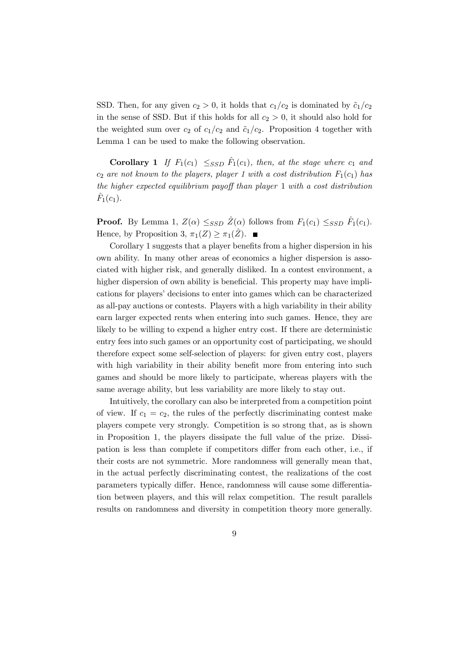SSD. Then, for any given  $c_2 > 0$ , it holds that  $c_1/c_2$  is dominated by  $\tilde{c}_1/c_2$ in the sense of SSD. But if this holds for all  $c_2 > 0$ , it should also hold for the weighted sum over  $c_2$  of  $c_1/c_2$  and  $\tilde{c}_1/c_2$ . Proposition 4 together with Lemma 1 can be used to make the following observation.

**Corollary 1** If  $F_1(c_1) \leq_{SSD} \hat{F}_1(c_1)$ , then, at the stage where  $c_1$  and  $c_2$  are not known to the players, player 1 with a cost distribution  $F_1(c_1)$  has the higher expected equilibrium payoff than player 1 with a cost distribution  $F_1(c_1)$ .

**Proof.** By Lemma 1,  $Z(\alpha) \leq_{SSD} \hat{Z}(\alpha)$  follows from  $F_1(c_1) \leq_{SSD} \hat{F}_1(c_1)$ . Hence, by Proposition 3,  $\pi_1(Z) \geq \pi_1(\hat{Z})$ .

Corollary 1 suggests that a player benefits from a higher dispersion in his own ability. In many other areas of economics a higher dispersion is associated with higher risk, and generally disliked. In a contest environment, a higher dispersion of own ability is beneficial. This property may have implications for players' decisions to enter into games which can be characterized as all-pay auctions or contests. Players with a high variability in their ability earn larger expected rents when entering into such games. Hence, they are likely to be willing to expend a higher entry cost. If there are deterministic entry fees into such games or an opportunity cost of participating, we should therefore expect some self-selection of players: for given entry cost, players with high variability in their ability benefit more from entering into such games and should be more likely to participate, whereas players with the same average ability, but less variability are more likely to stay out.

Intuitively, the corollary can also be interpreted from a competition point of view. If  $c_1 = c_2$ , the rules of the perfectly discriminating contest make players compete very strongly. Competition is so strong that, as is shown in Proposition 1, the players dissipate the full value of the prize. Dissipation is less than complete if competitors differ from each other, i.e., if their costs are not symmetric. More randomness will generally mean that, in the actual perfectly discriminating contest, the realizations of the cost parameters typically differ. Hence, randomness will cause some differentiation between players, and this will relax competition. The result parallels results on randomness and diversity in competition theory more generally.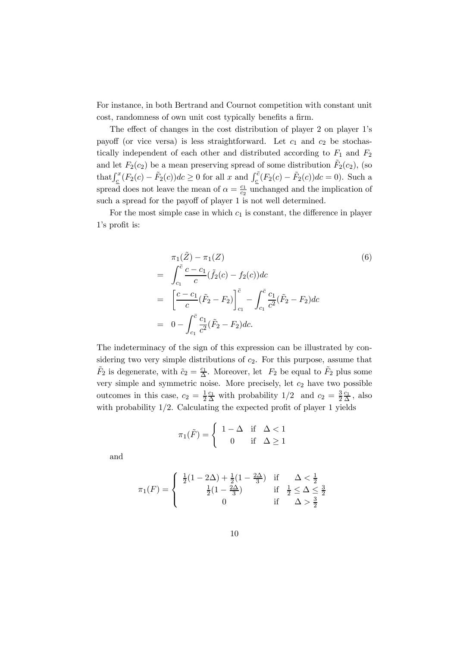For instance, in both Bertrand and Cournot competition with constant unit cost, randomness of own unit cost typically benefits a firm.

The effect of changes in the cost distribution of player 2 on player 1's payoff (or vice versa) is less straightforward. Let  $c_1$  and  $c_2$  be stochastically independent of each other and distributed according to  $F_1$  and  $F_2$ and let  $F_2(c_2)$  be a mean preserving spread of some distribution  $\tilde{F}_2(c_2)$ , (so that  $\int_{\underline{c}}^{x} (F_2(c) - \tilde{F}_2(c))dc \ge 0$  for all x and  $\int_{\underline{c}}^{z} (F_2(c) - \tilde{F}_2(c))dc = 0$ . Such a spread does not leave the mean of  $\alpha = \frac{c_1}{c_2}$  unchanged and the implication of such a spread for the payoff of player 1 is not well determined.

For the most simple case in which  $c_1$  is constant, the difference in player 1's profit is:

$$
\pi_1(\tilde{Z}) - \pi_1(Z) \qquad (6)
$$
\n
$$
= \int_{c_1}^{\bar{c}} \frac{c - c_1}{c} (\tilde{f}_2(c) - f_2(c)) dc
$$
\n
$$
= \left[ \frac{c - c_1}{c} (\tilde{F}_2 - F_2) \right]_{c_1}^{\bar{c}} - \int_{c_1}^{\bar{c}} \frac{c_1}{c^2} (\tilde{F}_2 - F_2) dc
$$
\n
$$
= 0 - \int_{c_1}^{\bar{c}} \frac{c_1}{c^2} (\tilde{F}_2 - F_2) dc.
$$

The indeterminacy of the sign of this expression can be illustrated by considering two very simple distributions of  $c_2$ . For this purpose, assume that  $\tilde{F}_2$  is degenerate, with  $\tilde{c}_2 = \frac{c_1}{\Delta}$ . Moreover, let  $F_2$  be equal to  $\tilde{F}_2$  plus some very simple and symmetric noise. More precisely, let  $c_2$  have two possible outcomes in this case,  $c_2 = \frac{1}{2} \frac{c_1}{\Delta}$  with probability  $1/2$  and  $c_2 = \frac{3}{2} \frac{c_1}{\Delta}$ , also with probability  $1/2$ . Calculating the expected profit of player 1 yields

$$
\pi_1(\tilde{F}) = \begin{cases} 1 - \Delta & \text{if } \Delta < 1 \\ 0 & \text{if } \Delta \ge 1 \end{cases}
$$

and

$$
\pi_1(F) = \begin{cases} \frac{1}{2}(1 - 2\Delta) + \frac{1}{2}(1 - \frac{2\Delta}{3}) & \text{if } \Delta < \frac{1}{2} \\ \frac{1}{2}(1 - \frac{2\Delta}{3}) & \text{if } \frac{1}{2} \leq \Delta \leq \frac{3}{2} \\ 0 & \text{if } \Delta > \frac{3}{2} \end{cases}
$$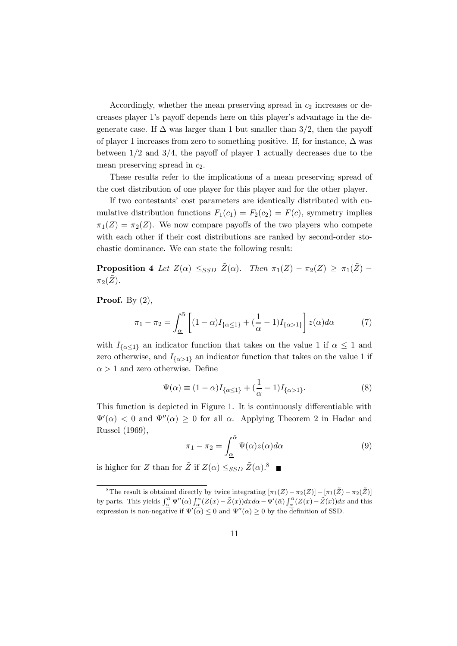Accordingly, whether the mean preserving spread in  $c_2$  increases or decreases player 1's payoff depends here on this player's advantage in the degenerate case. If  $\Delta$  was larger than 1 but smaller than 3/2, then the payoff of player 1 increases from zero to something positive. If, for instance,  $\Delta$  was between  $1/2$  and  $3/4$ , the payoff of player 1 actually decreases due to the mean preserving spread in  $c_2$ .

These results refer to the implications of a mean preserving spread of the cost distribution of one player for this player and for the other player.

If two contestants' cost parameters are identically distributed with cumulative distribution functions  $F_1(c_1) = F_2(c_2) = F(c)$ , symmetry implies  $\pi_1(Z) = \pi_2(Z)$ . We now compare payoffs of the two players who compete with each other if their cost distributions are ranked by second-order stochastic dominance. We can state the following result:

**Proposition 4** Let  $Z(\alpha) \leq_{SSD} \tilde{Z}(\alpha)$ . Then  $\pi_1(Z) - \pi_2(Z) \geq \pi_1(\tilde{Z}) \pi_2(\tilde{Z})$ .

**Proof.** By  $(2)$ ,

$$
\pi_1 - \pi_2 = \int_{\underline{\alpha}}^{\overline{\alpha}} \left[ (1 - \alpha) I_{\{\alpha \le 1\}} + (\frac{1}{\alpha} - 1) I_{\{\alpha > 1\}} \right] z(\alpha) d\alpha \tag{7}
$$

with  $I_{\{\alpha \leq 1\}}$  an indicator function that takes on the value 1 if  $\alpha \leq 1$  and zero otherwise, and  $I_{\{\alpha>1\}}$  an indicator function that takes on the value 1 if  $\alpha > 1$  and zero otherwise. Define

$$
\Psi(\alpha) \equiv (1 - \alpha)I_{\{\alpha \le 1\}} + (\frac{1}{\alpha} - 1)I_{\{\alpha > 1\}}.
$$
\n(8)

This function is depicted in Figure 1. It is continuously differentiable with  $\Psi'(\alpha) < 0$  and  $\Psi''(\alpha) \ge 0$  for all  $\alpha$ . Applying Theorem 2 in Hadar and Russel (1969),

$$
\pi_1 - \pi_2 = \int_{\underline{\alpha}}^{\overline{\alpha}} \Psi(\alpha) z(\alpha) d\alpha \tag{9}
$$

is higher for Z than for  $\tilde{Z}$  if  $Z(\alpha) \leq_{SSD} \tilde{Z}(\alpha)$ .<sup>8</sup>

<sup>&</sup>lt;sup>8</sup>The result is obtained directly by twice integrating  $[\pi_1(Z)-\pi_2(Z)]-[\pi_1(\tilde{Z})-\pi_2(\tilde{Z})]$ by parts. This yields  $\int_{\alpha}^{\bar{\alpha}} \Psi''(\alpha) \int_{\alpha}^{\alpha} (Z(x) - \tilde{Z}(x)) dx d\alpha - \Psi'(\bar{\alpha}) \int_{\alpha}^{\bar{\alpha}} (Z(x) - \tilde{Z}(x)) dx$  and this expression is non-negative if  $\Psi'(\alpha) \leq 0$  and  $\Psi''(\alpha) \geq 0$  by the definition of SSD.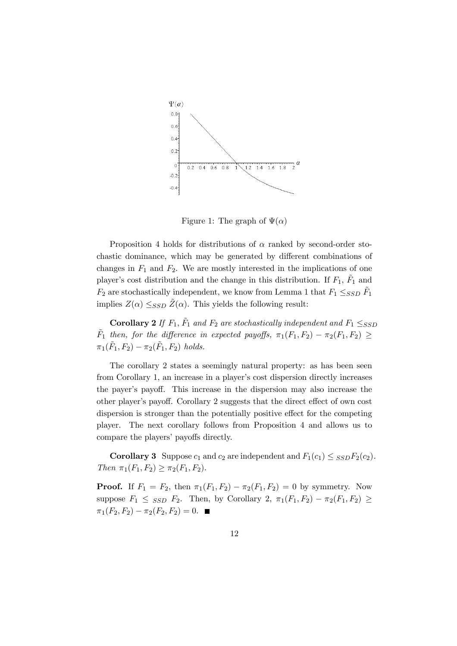

Figure 1: The graph of  $\Psi(\alpha)$ 

Proposition 4 holds for distributions of  $\alpha$  ranked by second-order stochastic dominance, which may be generated by different combinations of changes in  $F_1$  and  $F_2$ . We are mostly interested in the implications of one player's cost distribution and the change in this distribution. If  $F_1$ ,  $F_1$  and  $F_2$  are stochastically independent, we know from Lemma 1 that  $F_1 \leq_{SSD} F_1$ implies  $Z(\alpha) \leq_{SSD} \tilde{Z}(\alpha)$ . This yields the following result:

**Corollary 2** If  $F_1$ ,  $\tilde{F}_1$  and  $F_2$  are stochastically independent and  $F_1 \leq_{SSD}$  $F_1$  then, for the difference in expected payoffs,  $\pi_1(F_1, F_2) - \pi_2(F_1, F_2) \ge$  $\pi_1(F_1, F_2) - \pi_2(F_1, F_2)$  holds.

The corollary 2 states a seemingly natural property: as has been seen from Corollary 1, an increase in a player's cost dispersion directly increases the payer's payoff. This increase in the dispersion may also increase the other player's payoff. Corollary 2 suggests that the direct effect of own cost dispersion is stronger than the potentially positive effect for the competing player. The next corollary follows from Proposition 4 and allows us to compare the players' payoffs directly.

**Corollary 3** Suppose  $c_1$  and  $c_2$  are independent and  $F_1(c_1) \leq s_{SD}F_2(c_2)$ . Then  $\pi_1(F_1, F_2) \geq \pi_2(F_1, F_2)$ .

**Proof.** If  $F_1 = F_2$ , then  $\pi_1(F_1, F_2) - \pi_2(F_1, F_2) = 0$  by symmetry. Now suppose  $F_1 \leq$  ssp  $F_2$ . Then, by Corollary 2,  $\pi_1(F_1, F_2) - \pi_2(F_1, F_2) \geq$  $\pi_1(F_2, F_2) - \pi_2(F_2, F_2) = 0.$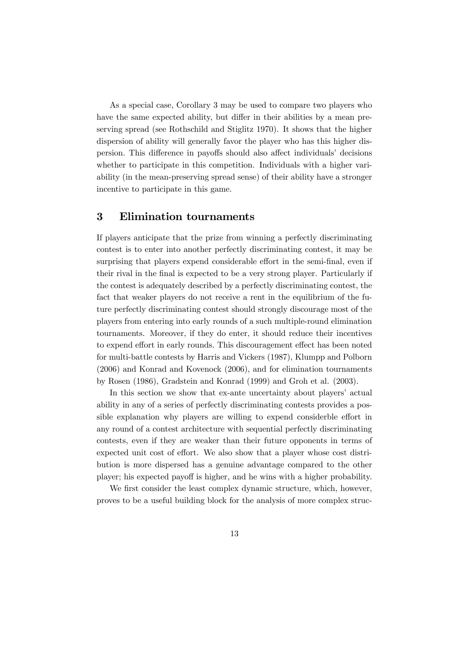As a special case, Corollary 3 may be used to compare two players who have the same expected ability, but differ in their abilities by a mean preserving spread (see Rothschild and Stiglitz 1970). It shows that the higher dispersion of ability will generally favor the player who has this higher dispersion. This difference in payoffs should also affect individuals' decisions whether to participate in this competition. Individuals with a higher variability (in the mean-preserving spread sense) of their ability have a stronger incentive to participate in this game.

#### 3 Elimination tournaments

If players anticipate that the prize from winning a perfectly discriminating contest is to enter into another perfectly discriminating contest, it may be surprising that players expend considerable effort in the semi-final, even if their rival in the final is expected to be a very strong player. Particularly if the contest is adequately described by a perfectly discriminating contest, the fact that weaker players do not receive a rent in the equilibrium of the future perfectly discriminating contest should strongly discourage most of the players from entering into early rounds of a such multiple-round elimination tournaments. Moreover, if they do enter, it should reduce their incentives to expend effort in early rounds. This discouragement effect has been noted for multi-battle contests by Harris and Vickers (1987), Klumpp and Polborn (2006) and Konrad and Kovenock (2006), and for elimination tournaments by Rosen (1986), Gradstein and Konrad (1999) and Groh et al. (2003).

In this section we show that ex-ante uncertainty about players' actual ability in any of a series of perfectly discriminating contests provides a possible explanation why players are willing to expend considerble effort in any round of a contest architecture with sequential perfectly discriminating contests, even if they are weaker than their future opponents in terms of expected unit cost of effort. We also show that a player whose cost distribution is more dispersed has a genuine advantage compared to the other player; his expected payoff is higher, and he wins with a higher probability.

We first consider the least complex dynamic structure, which, however, proves to be a useful building block for the analysis of more complex struc-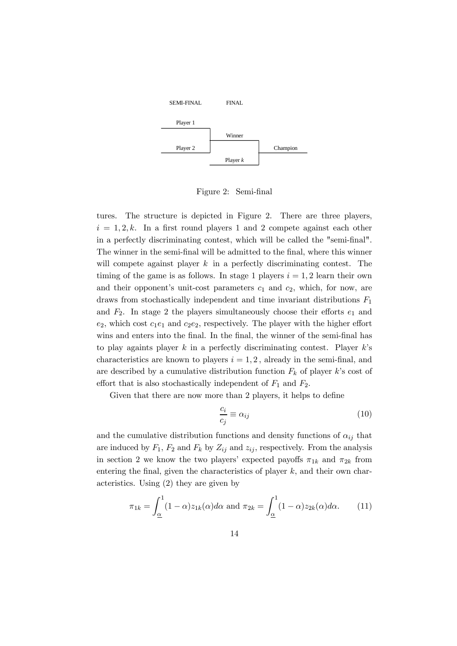

Figure 2: Semi-final

tures. The structure is depicted in Figure 2. There are three players,  $i = 1, 2, k$ . In a first round players 1 and 2 compete against each other in a perfectly discriminating contest, which will be called the "semi-final". The winner in the semi-final will be admitted to the final, where this winner will compete against player  $k$  in a perfectly discriminating contest. The timing of the game is as follows. In stage 1 players  $i = 1, 2$  learn their own and their opponent's unit-cost parameters  $c_1$  and  $c_2$ , which, for now, are draws from stochastically independent and time invariant distributions  $F_1$ and  $F_2$ . In stage 2 the players simultaneously choose their efforts  $e_1$  and  $e_2$ , which cost  $c_1e_1$  and  $c_2e_2$ , respectively. The player with the higher effort wins and enters into the final. In the final, the winner of the semi-final has to play againts player  $k$  in a perfectly discriminating contest. Player  $k$ 's characteristics are known to players  $i = 1, 2$ , already in the semi-final, and are described by a cumulative distribution function  $F_k$  of player k's cost of effort that is also stochastically independent of  $F_1$  and  $F_2$ .

Given that there are now more than 2 players, it helps to define

$$
\frac{c_i}{c_j} \equiv \alpha_{ij} \tag{10}
$$

and the cumulative distribution functions and density functions of  $\alpha_{ij}$  that are induced by  $F_1$ ,  $F_2$  and  $F_k$  by  $Z_{ij}$  and  $z_{ij}$ , respectively. From the analysis in section 2 we know the two players' expected payoffs  $\pi_{1k}$  and  $\pi_{2k}$  from entering the final, given the characteristics of player  $k$ , and their own characteristics. Using (2) they are given by

$$
\pi_{1k} = \int_{\underline{\alpha}}^{1} (1 - \alpha) z_{1k}(\alpha) d\alpha \text{ and } \pi_{2k} = \int_{\underline{\alpha}}^{1} (1 - \alpha) z_{2k}(\alpha) d\alpha.
$$
 (11)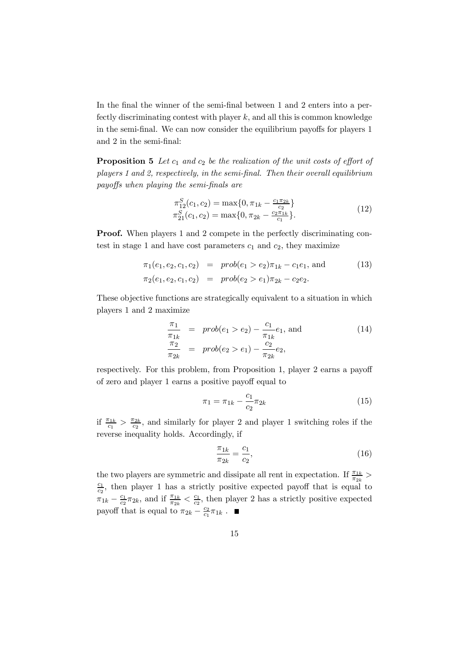In the final the winner of the semi-final between 1 and 2 enters into a perfectly discriminating contest with player  $k$ , and all this is common knowledge in the semi-final. We can now consider the equilibrium payoffs for players 1 and 2 in the semi-final:

**Proposition 5** Let  $c_1$  and  $c_2$  be the realization of the unit costs of effort of players 1 and 2, respectively, in the semi-final. Then their overall equilibrium payoffs when playing the semi-finals are

$$
\pi_{12}^{S}(c_1, c_2) = \max\{0, \pi_{1k} - \frac{c_1 \pi_{2k}}{c_2}\}\n\n\pi_{21}^{S}(c_1, c_2) = \max\{0, \pi_{2k} - \frac{c_2 \pi_{1k}}{c_1}\}.
$$
\n(12)

Proof. When players 1 and 2 compete in the perfectly discriminating contest in stage 1 and have cost parameters  $c_1$  and  $c_2$ , they maximize

$$
\pi_1(e_1, e_2, c_1, c_2) = prob(e_1 > e_2) \pi_{1k} - c_1 e_1, \text{ and } \pi_2(e_1, e_2, c_1, c_2) = prob(e_2 > e_1) \pi_{2k} - c_2 e_2.
$$
\n(13)

These objective functions are strategically equivalent to a situation in which players 1 and 2 maximize

$$
\frac{\pi_1}{\pi_{1k}} = prob(e_1 > e_2) - \frac{c_1}{\pi_{1k}} e_1, \text{ and} \n\frac{\pi_2}{\pi_{2k}} = prob(e_2 > e_1) - \frac{c_2}{\pi_{2k}} e_2,
$$
\n(14)

respectively. For this problem, from Proposition 1, player 2 earns a payoff of zero and player 1 earns a positive payoff equal to

$$
\pi_1 = \pi_{1k} - \frac{c_1}{c_2} \pi_{2k} \tag{15}
$$

if  $\frac{\pi_{1k}}{c_1} > \frac{\pi_{2k}}{c_2}$ , and similarly for player 2 and player 1 switching roles if the reverse inequality holds. Accordingly, if

$$
\frac{\pi_{1k}}{\pi_{2k}} = \frac{c_1}{c_2},\tag{16}
$$

the two players are symmetric and dissipate all rent in expectation. If  $\frac{\pi_{1k}}{\pi_{2k}}$  >  $\frac{c_1}{c_2}$ , then player 1 has a strictly positive expected payoff that is equal to  $\pi_{1k} - \frac{c_1}{c_2}\pi_{2k}$ , and if  $\frac{\pi_{1k}}{\pi_{2k}} < \frac{c_1}{c_2}$ , then player 2 has a strictly positive expected payoff that is equal to  $\pi_{2k} - \frac{c_2}{c_1} \pi_{1k}$ .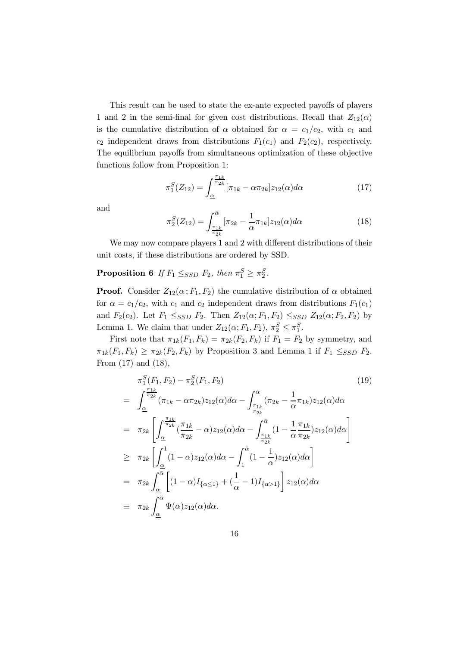This result can be used to state the ex-ante expected payoffs of players 1 and 2 in the semi-final for given cost distributions. Recall that  $Z_{12}(\alpha)$ is the cumulative distribution of  $\alpha$  obtained for  $\alpha = c_1/c_2$ , with  $c_1$  and  $c_2$  independent draws from distributions  $F_1(c_1)$  and  $F_2(c_2)$ , respectively. The equilibrium payoffs from simultaneous optimization of these objective functions follow from Proposition 1:

$$
\pi_1^S(Z_{12}) = \int_{\underline{\alpha}}^{\frac{\pi_{1k}}{\pi_{2k}}} [\pi_{1k} - \alpha \pi_{2k}] z_{12}(\alpha) d\alpha \tag{17}
$$

and

$$
\pi_2^S(Z_{12}) = \int_{\frac{\pi_{1k}}{\pi_{2k}}}^{\bar{\alpha}} [\pi_{2k} - \frac{1}{\alpha} \pi_{1k}] z_{12}(\alpha) d\alpha \tag{18}
$$

We may now compare players 1 and 2 with different distributions of their unit costs, if these distributions are ordered by SSD.

### **Proposition 6** If  $F_1 \leq_{SSD} F_2$ , then  $\pi_1^S \geq \pi_2^S$ .

**Proof.** Consider  $Z_{12}(\alpha; F_1, F_2)$  the cumulative distribution of  $\alpha$  obtained for  $\alpha = c_1/c_2$ , with  $c_1$  and  $c_2$  independent draws from distributions  $F_1(c_1)$ and  $F_2(c_2)$ . Let  $F_1 \leq_{SSD} F_2$ . Then  $Z_{12}(\alpha; F_1, F_2) \leq_{SSD} Z_{12}(\alpha; F_2, F_2)$  by Lemma 1. We claim that under  $Z_{12}(\alpha; F_1, F_2), \pi_2^S \leq \pi_1^S$ .

First note that  $\pi_{1k}(F_1, F_k) = \pi_{2k}(F_2, F_k)$  if  $F_1 = F_2$  by symmetry, and  $\pi_{1k}(F_1, F_k) \geq \pi_{2k}(F_2, F_k)$  by Proposition 3 and Lemma 1 if  $F_1 \leq_{SSD} F_2$ . From (17) and (18),

$$
\pi_1^S(F_1, F_2) - \pi_2^S(F_1, F_2)
$$
\n
$$
= \int_{\underline{\alpha}}^{\frac{\pi_{1k}}{2}} (\pi_{1k} - \alpha \pi_{2k}) z_{12}(\alpha) d\alpha - \int_{\frac{\pi_{1k}}{\pi_{2k}}}^{\bar{\alpha}} (\pi_{2k} - \frac{1}{\alpha} \pi_{1k}) z_{12}(\alpha) d\alpha
$$
\n
$$
= \pi_{2k} \left[ \int_{\underline{\alpha}}^{\frac{\pi_{1k}}{2}} (\frac{\pi_{1k}}{\pi_{2k}} - \alpha) z_{12}(\alpha) d\alpha - \int_{\frac{\pi_{1k}}{\pi_{2k}}}^{\bar{\alpha}} (1 - \frac{1}{\alpha} \frac{\pi_{1k}}{\pi_{2k}}) z_{12}(\alpha) d\alpha \right]
$$
\n
$$
\geq \pi_{2k} \left[ \int_{\underline{\alpha}}^1 (1 - \alpha) z_{12}(\alpha) d\alpha - \int_{1}^{\bar{\alpha}} (1 - \frac{1}{\alpha}) z_{12}(\alpha) d\alpha \right]
$$
\n
$$
= \pi_{2k} \int_{\underline{\alpha}}^{\bar{\alpha}} \left[ (1 - \alpha) I_{\{\alpha \leq 1\}} + (\frac{1}{\alpha} - 1) I_{\{\alpha > 1\}} \right] z_{12}(\alpha) d\alpha
$$
\n
$$
\equiv \pi_{2k} \int_{\underline{\alpha}}^{\bar{\alpha}} \Psi(\alpha) z_{12}(\alpha) d\alpha.
$$
\n(19)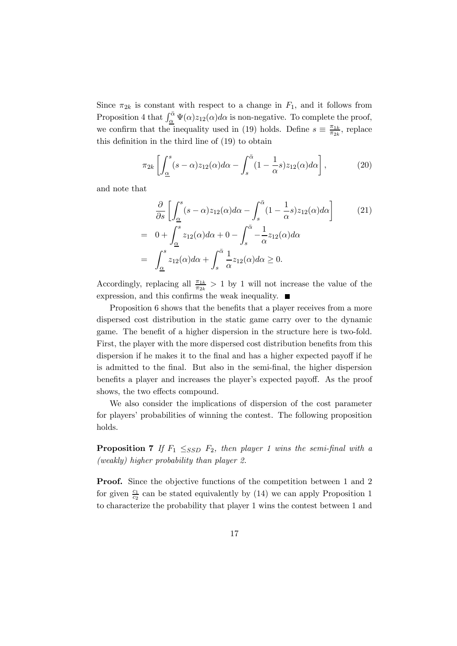Since  $\pi_{2k}$  is constant with respect to a change in  $F_1$ , and it follows from Proposition 4 that  $\int_{\alpha}^{\bar{\alpha}} \Psi(\alpha) z_{12}(\alpha) d\alpha$  is non-negative. To complete the proof, we confirm that the inequality used in (19) holds. Define  $s \equiv \frac{\pi_{1k}}{\pi_{2k}}$ , replace this definition in the third line of (19) to obtain

$$
\pi_{2k} \left[ \int_{\underline{\alpha}}^{s} (s - \alpha) z_{12}(\alpha) d\alpha - \int_{s}^{\bar{\alpha}} (1 - \frac{1}{\alpha} s) z_{12}(\alpha) d\alpha \right],\tag{20}
$$

and note that

$$
\frac{\partial}{\partial s} \left[ \int_{\underline{\alpha}}^{s} (s - \alpha) z_{12}(\alpha) d\alpha - \int_{s}^{\overline{\alpha}} (1 - \frac{1}{\alpha} s) z_{12}(\alpha) d\alpha \right]
$$
\n
$$
= 0 + \int_{\underline{\alpha}}^{s} z_{12}(\alpha) d\alpha + 0 - \int_{s}^{\overline{\alpha}} -\frac{1}{\alpha} z_{12}(\alpha) d\alpha
$$
\n
$$
= \int_{\underline{\alpha}}^{s} z_{12}(\alpha) d\alpha + \int_{s}^{\overline{\alpha}} \frac{1}{\alpha} z_{12}(\alpha) d\alpha \ge 0.
$$
\n(21)

Accordingly, replacing all  $\frac{\pi_{1k}}{\pi_{2k}} > 1$  by 1 will not increase the value of the expression, and this confirms the weak inequality.  $\blacksquare$ 

Proposition 6 shows that the benefits that a player receives from a more dispersed cost distribution in the static game carry over to the dynamic game. The benefit of a higher dispersion in the structure here is two-fold. First, the player with the more dispersed cost distribution benefits from this dispersion if he makes it to the final and has a higher expected payoff if he is admitted to the final. But also in the semi-final, the higher dispersion benefits a player and increases the player's expected payoff. As the proof shows, the two effects compound.

We also consider the implications of dispersion of the cost parameter for players' probabilities of winning the contest. The following proposition holds.

**Proposition 7** If  $F_1 \leq_{SSD} F_2$ , then player 1 wins the semi-final with a (weakly) higher probability than player 2.

**Proof.** Since the objective functions of the competition between 1 and 2 for given  $\frac{c_1}{c_2}$  can be stated equivalently by (14) we can apply Proposition 1 to characterize the probability that player 1 wins the contest between 1 and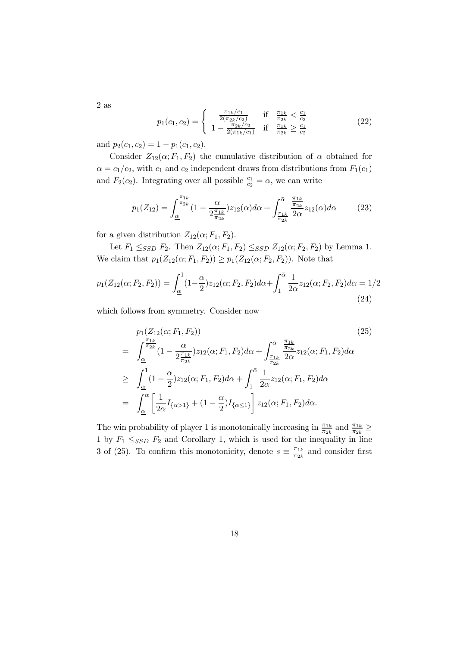$$
p_1(c_1, c_2) = \begin{cases} \frac{\pi_{1k}/c_1}{2(\pi_{2k}/c_2)} & \text{if } \frac{\pi_{1k}}{\pi_{2k}} < \frac{c_1}{c_2} \\ 1 - \frac{\pi_{2k}/c_2}{2(\pi_{1k}/c_1)} & \text{if } \frac{\pi_{1k}}{\pi_{2k}} \ge \frac{c_1}{c_2} \end{cases}
$$
(22)

and  $p_2(c_1, c_2)=1 - p_1(c_1, c_2)$ .

2 as

Consider  $Z_{12}(\alpha;F_1,F_2)$  the cumulative distribution of  $\alpha$  obtained for  $\alpha = c_1/c_2$ , with  $c_1$  and  $c_2$  independent draws from distributions from  $F_1(c_1)$ and  $F_2(c_2)$ . Integrating over all possible  $\frac{c_1}{c_2} = \alpha$ , we can write

$$
p_1(Z_{12}) = \int_{\underline{\alpha}}^{\frac{\pi_{1k}}{2k}} (1 - \frac{\alpha}{2\frac{\pi_{1k}}{\pi_{2k}}}) z_{12}(\alpha) d\alpha + \int_{\frac{\pi_{1k}}{\pi_{2k}}}^{\bar{\alpha}} \frac{\frac{\pi_{1k}}{\pi_{2k}}}{2\alpha} z_{12}(\alpha) d\alpha \qquad (23)
$$

for a given distribution  $Z_{12}(\alpha;F_1,F_2)$ .

Let  $F_1 \leq_{SSD} F_2$ . Then  $Z_{12}(\alpha; F_1, F_2) \leq_{SSD} Z_{12}(\alpha; F_2, F_2)$  by Lemma 1. We claim that  $p_1(Z_{12}(\alpha;F_1,F_2)) \geq p_1(Z_{12}(\alpha;F_2,F_2))$ . Note that

$$
p_1(Z_{12}(\alpha; F_2, F_2)) = \int_{\underline{\alpha}}^1 (1 - \frac{\alpha}{2}) z_{12}(\alpha; F_2, F_2) d\alpha + \int_1^{\bar{\alpha}} \frac{1}{2\alpha} z_{12}(\alpha; F_2, F_2) d\alpha = 1/2
$$
\n(24)

which follows from symmetry. Consider now

$$
p_{1}(Z_{12}(\alpha; F_{1}, F_{2}))
$$
\n
$$
= \int_{\underline{\alpha}}^{\frac{\pi_{1k}}{\pi_{2k}}} (1 - \frac{\alpha}{2\frac{\pi_{1k}}{\pi_{2k}}}) z_{12}(\alpha; F_{1}, F_{2}) d\alpha + \int_{\frac{\pi_{1k}}{\pi_{2k}}}^{\bar{\alpha}} \frac{\frac{\pi_{1k}}{\pi_{2k}}}{2\alpha} z_{12}(\alpha; F_{1}, F_{2}) d\alpha
$$
\n
$$
\geq \int_{\underline{\alpha}}^{1} (1 - \frac{\alpha}{2}) z_{12}(\alpha; F_{1}, F_{2}) d\alpha + \int_{1}^{\bar{\alpha}} \frac{1}{2\alpha} z_{12}(\alpha; F_{1}, F_{2}) d\alpha
$$
\n
$$
= \int_{\underline{\alpha}}^{\bar{\alpha}} \left[ \frac{1}{2\alpha} I_{\{\alpha > 1\}} + (1 - \frac{\alpha}{2}) I_{\{\alpha \leq 1\}} \right] z_{12}(\alpha; F_{1}, F_{2}) d\alpha.
$$
\n(25)

The win probability of player 1 is monotonically increasing in  $\frac{\pi_{1k}}{\pi_{2k}}$  and  $\frac{\pi_{1k}}{\pi_{2k}} \ge$ 1 by  $F_1 \leq_{SSD} F_2$  and Corollary 1, which is used for the inequality in line 3 of (25). To confirm this monotonicity, denote  $s \equiv \frac{\pi_{1k}}{\pi_{2k}}$  and consider first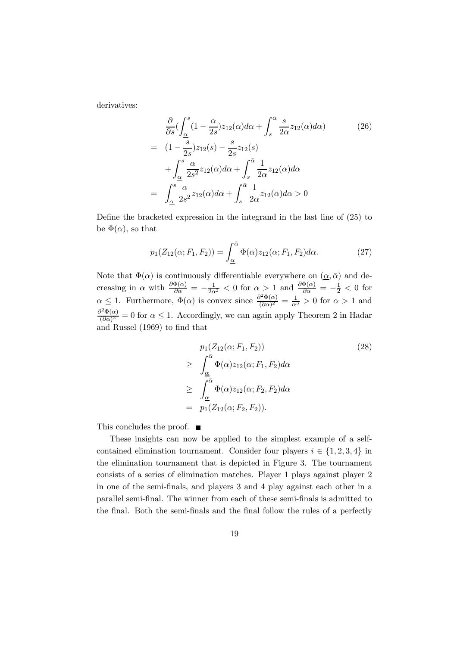derivatives:

$$
\frac{\partial}{\partial s} \left( \int_{\underline{\alpha}}^{s} (1 - \frac{\alpha}{2s}) z_{12}(\alpha) d\alpha + \int_{s}^{\bar{\alpha}} \frac{s}{2\alpha} z_{12}(\alpha) d\alpha \right) \tag{26}
$$
\n
$$
= (1 - \frac{s}{2s}) z_{12}(s) - \frac{s}{2s} z_{12}(s)
$$
\n
$$
+ \int_{\underline{\alpha}}^{s} \frac{\alpha}{2s^2} z_{12}(\alpha) d\alpha + \int_{s}^{\bar{\alpha}} \frac{1}{2\alpha} z_{12}(\alpha) d\alpha
$$
\n
$$
= \int_{\underline{\alpha}}^{s} \frac{\alpha}{2s^2} z_{12}(\alpha) d\alpha + \int_{s}^{\bar{\alpha}} \frac{1}{2\alpha} z_{12}(\alpha) d\alpha > 0
$$

Define the bracketed expression in the integrand in the last line of (25) to be  $\Phi(\alpha)$ , so that

$$
p_1(Z_{12}(\alpha; F_1, F_2)) = \int_{\underline{\alpha}}^{\overline{\alpha}} \Phi(\alpha) z_{12}(\alpha; F_1, F_2) d\alpha.
$$
 (27)

Note that  $\Phi(\alpha)$  is continuously differentiable everywhere on  $(\underline{\alpha}, \overline{\alpha})$  and decreasing in  $\alpha$  with  $\frac{\partial \Phi(\alpha)}{\partial \alpha} = -\frac{1}{2\alpha^2} < 0$  for  $\alpha > 1$  and  $\frac{\partial \Phi(\alpha)}{\partial \alpha} = -\frac{1}{2} < 0$  for  $\alpha \leq 1$ . Furthermore,  $\Phi(\alpha)$  is convex since  $\frac{\partial^2 \Phi(\alpha)}{(\partial \alpha)^2} = \frac{1}{\alpha^3} > 0$  for  $\alpha > 1$  and  $\frac{\partial^2 \Phi(\alpha)}{(\partial \alpha)^2} = 0$  for  $\alpha \leq 1$ . Accordingly, we can again apply Theorem 2 in Hadar and Russel (1969) to find that

$$
p_1(Z_{12}(\alpha; F_1, F_2))
$$
\n
$$
\geq \int_{\underline{\alpha}}^{\overline{\alpha}} \Phi(\alpha) z_{12}(\alpha; F_1, F_2) d\alpha
$$
\n
$$
\geq \int_{\underline{\alpha}}^{\overline{\alpha}} \Phi(\alpha) z_{12}(\alpha; F_2, F_2) d\alpha
$$
\n
$$
= p_1(Z_{12}(\alpha; F_2, F_2)).
$$
\n(28)

This concludes the proof.  $\blacksquare$ 

These insights can now be applied to the simplest example of a selfcontained elimination tournament. Consider four players  $i \in \{1, 2, 3, 4\}$  in the elimination tournament that is depicted in Figure 3. The tournament consists of a series of elimination matches. Player 1 plays against player 2 in one of the semi-finals, and players 3 and 4 play against each other in a parallel semi-final. The winner from each of these semi-finals is admitted to the final. Both the semi-finals and the final follow the rules of a perfectly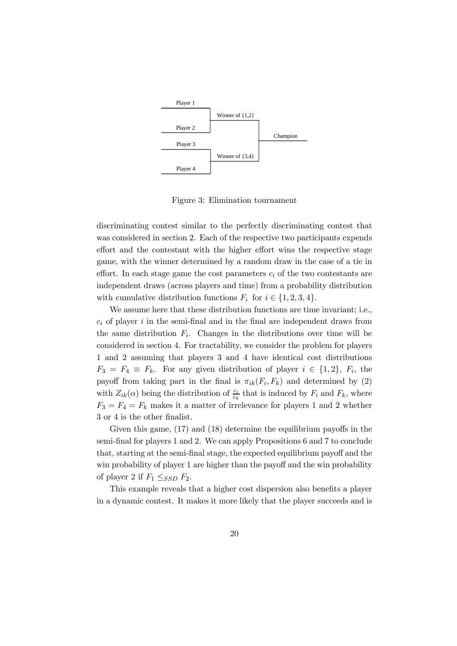

Figure 3: Elimination tournament

discriminating contest similar to the perfectly discriminating contest that was considered in section 2. Each of the respective two participants expends effort and the contestant with the higher effort wins the respective stage game, with the winner determined by a random draw in the case of a tie in effort. In each stage game the cost parameters  $c_i$  of the two contestants are independent draws (across players and time) from a probability distribution with cumulative distribution functions  $F_i$  for  $i \in \{1, 2, 3, 4\}.$ 

We assume here that these distribution functions are time invariant; i.e.,  $c_i$  of player i in the semi-final and in the final are independent draws from the same distribution  $F_i$ . Changes in the distributions over time will be considered in section 4. For tractability, we consider the problem for players 1 and 2 assuming that players 3 and 4 have identical cost distributions  $F_3 = F_4 \equiv F_k$ . For any given distribution of player  $i \in \{1,2\}$ ,  $F_i$ , the payoff from taking part in the final is  $\pi_{ik}(F_i, F_k)$  and determined by (2) with  $Z_{ik}(\alpha)$  being the distribution of  $\frac{c_i}{c_k}$  that is induced by  $F_i$  and  $F_k$ , where  $F_3 = F_4 = F_k$  makes it a matter of irrelevance for players 1 and 2 whether 3 or 4 is the other finalist.

Given this game, (17) and (18) determine the equilibrium payoffs in the semi-final for players 1 and 2. We can apply Propositions 6 and 7 to conclude that, starting at the semi-final stage, the expected equilibrium payoff and the win probability of player 1 are higher than the payoff and the win probability of player 2 if  $F_1 \leq_{SSD} F_2$ .

This example reveals that a higher cost dispersion also benefits a player in a dynamic contest. It makes it more likely that the player succeeds and is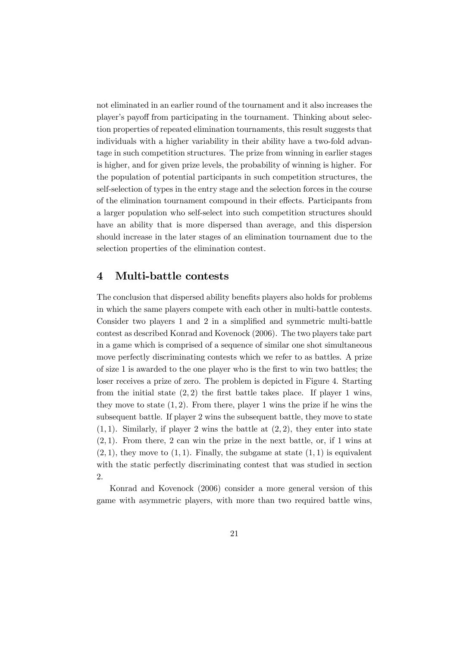not eliminated in an earlier round of the tournament and it also increases the player's payoff from participating in the tournament. Thinking about selection properties of repeated elimination tournaments, this result suggests that individuals with a higher variability in their ability have a two-fold advantage in such competition structures. The prize from winning in earlier stages is higher, and for given prize levels, the probability of winning is higher. For the population of potential participants in such competition structures, the self-selection of types in the entry stage and the selection forces in the course of the elimination tournament compound in their effects. Participants from a larger population who self-select into such competition structures should have an ability that is more dispersed than average, and this dispersion should increase in the later stages of an elimination tournament due to the selection properties of the elimination contest.

#### 4 Multi-battle contests

The conclusion that dispersed ability benefits players also holds for problems in which the same players compete with each other in multi-battle contests. Consider two players 1 and 2 in a simplified and symmetric multi-battle contest as described Konrad and Kovenock (2006). The two players take part in a game which is comprised of a sequence of similar one shot simultaneous move perfectly discriminating contests which we refer to as battles. A prize of size 1 is awarded to the one player who is the first to win two battles; the loser receives a prize of zero. The problem is depicted in Figure 4. Starting from the initial state  $(2, 2)$  the first battle takes place. If player 1 wins, they move to state  $(1, 2)$ . From there, player 1 wins the prize if he wins the subsequent battle. If player 2 wins the subsequent battle, they move to state  $(1, 1)$ . Similarly, if player 2 wins the battle at  $(2, 2)$ , they enter into state  $(2, 1)$ . From there, 2 can win the prize in the next battle, or, if 1 wins at  $(2, 1)$ , they move to  $(1, 1)$ . Finally, the subgame at state  $(1, 1)$  is equivalent with the static perfectly discriminating contest that was studied in section 2.

Konrad and Kovenock (2006) consider a more general version of this game with asymmetric players, with more than two required battle wins,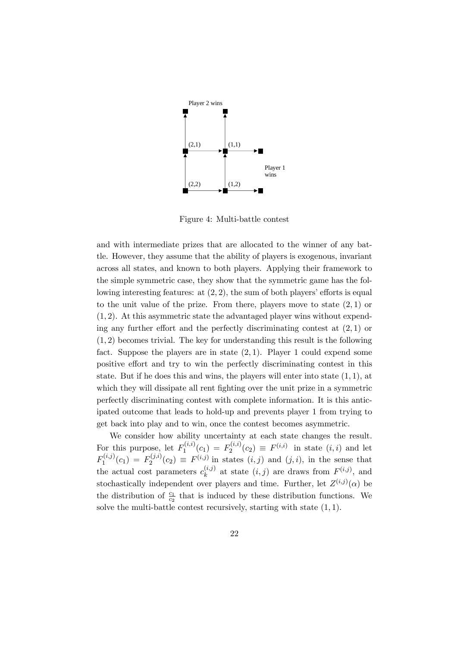

Figure 4: Multi-battle contest

and with intermediate prizes that are allocated to the winner of any battle. However, they assume that the ability of players is exogenous, invariant across all states, and known to both players. Applying their framework to the simple symmetric case, they show that the symmetric game has the following interesting features: at (2, 2), the sum of both players' efforts is equal to the unit value of the prize. From there, players move to state  $(2, 1)$  or  $(1, 2)$ . At this asymmetric state the advantaged player wins without expending any further effort and the perfectly discriminating contest at  $(2, 1)$  or (1, 2) becomes trivial. The key for understanding this result is the following fact. Suppose the players are in state  $(2, 1)$ . Player 1 could expend some positive effort and try to win the perfectly discriminating contest in this state. But if he does this and wins, the players will enter into state  $(1, 1)$ , at which they will dissipate all rent fighting over the unit prize in a symmetric perfectly discriminating contest with complete information. It is this anticipated outcome that leads to hold-up and prevents player 1 from trying to get back into play and to win, once the contest becomes asymmetric.

We consider how ability uncertainty at each state changes the result. For this purpose, let  $F_1^{(i,i)}(c_1) = F_2^{(i,i)}(c_2) \equiv F^{(i,i)}$  in state  $(i,i)$  and let  $F_1^{(i,j)}(c_1) = F_2^{(j,i)}(c_2) \equiv F^{(i,j)}$  in states  $(i,j)$  and  $(j,i)$ , in the sense that the actual cost parameters  $c_k^{(i,j)}$  at state  $(i,j)$  are draws from  $F^{(i,j)}$ , and stochastically independent over players and time. Further, let  $Z^{(i,j)}(\alpha)$  be the distribution of  $\frac{c_1}{c_2}$  that is induced by these distribution functions. We solve the multi-battle contest recursively, starting with state  $(1, 1)$ .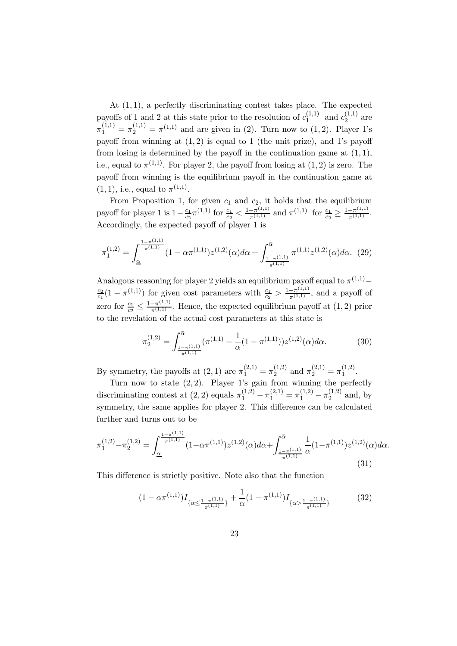At  $(1, 1)$ , a perfectly discriminating contest takes place. The expected payoffs of 1 and 2 at this state prior to the resolution of  $c_1^{(1,1)}$  and  $c_2^{(1,1)}$  are  $\pi_1^{(1,1)} = \pi_2^{(1,1)} = \pi^{(1,1)}$  and are given in (2). Turn now to (1, 2). Player 1's payoff from winning at  $(1, 2)$  is equal to 1 (the unit prize), and 1's payoff from losing is determined by the payoff in the continuation game at  $(1, 1)$ , i.e., equal to  $\pi^{(1,1)}$ . For player 2, the payoff from losing at  $(1, 2)$  is zero. The payoff from winning is the equilibrium payoff in the continuation game at  $(1, 1)$ , i.e., equal to  $\pi^{(1,1)}$ .

From Proposition 1, for given  $c_1$  and  $c_2$ , it holds that the equilibrium payoff for player 1 is  $1 - \frac{c_1}{c_2} \pi^{(1,1)}$  for  $\frac{c_1}{c_2} < \frac{1 - \pi^{(1,1)}}{\pi^{(1,1)}}$  and  $\pi^{(1,1)}$  for  $\frac{c_1}{c_2} \ge \frac{1 - \pi^{(1,1)}}{\pi^{(1,1)}}$ . Accordingly, the expected payoff of player 1 is

$$
\pi_1^{(1,2)} = \int_{\underline{\alpha}}^{\frac{1-\pi^{(1,1)}}{\pi^{(1,1)}}} (1 - \alpha \pi^{(1,1)}) z^{(1,2)}(\alpha) d\alpha + \int_{\frac{1-\pi^{(1,1)}}{\pi^{(1,1)}}}^{\overline{\alpha}} \pi^{(1,1)} z^{(1,2)}(\alpha) d\alpha. (29)
$$

Analogous reasoning for player 2 yields an equilibrium payoff equal to  $\pi^{(1,1)}$  –  $\frac{c_2}{c_1}(1-\pi^{(1,1)})$  for given cost parameters with  $\frac{c_1}{c_2} > \frac{1-\pi^{(1,1)}}{\pi^{(1,1)}}$ , and a payoff of zero for  $\frac{c_1}{c_2} \leq \frac{1-\pi^{(1,1)}}{\pi^{(1,1)}}$ . Hence, the expected equilibrium payoff at  $(1, 2)$  prior to the revelation of the actual cost parameters at this state is

$$
\pi_2^{(1,2)} = \int_{\frac{1-\pi^{(1,1)}}{\pi^{(1,1)}}}^{\bar{\alpha}} (\pi^{(1,1)} - \frac{1}{\alpha} (1 - \pi^{(1,1)})) z^{(1,2)}(\alpha) d\alpha.
$$
 (30)

By symmetry, the payoffs at  $(2, 1)$  are  $\pi_1^{(2,1)} = \pi_2^{(1,2)}$  and  $\pi_2^{(2,1)} = \pi_1^{(1,2)}$ .

Turn now to state  $(2, 2)$ . Player 1's gain from winning the perfectly discriminating contest at  $(2, 2)$  equals  $\pi_1^{(1,2)} - \pi_1^{(2,1)} = \pi_1^{(1,2)} - \pi_2^{(1,2)}$  and, by symmetry, the same applies for player 2. This difference can be calculated further and turns out to be

$$
\pi_1^{(1,2)} - \pi_2^{(1,2)} = \int_{\underline{\alpha}}^{\frac{1-\pi^{(1,1)}}{\pi^{(1,1)}}} (1 - \alpha \pi^{(1,1)}) z^{(1,2)}(\alpha) d\alpha + \int_{\frac{1-\pi^{(1,1)}}{\pi^{(1,1)}}}^{\bar{\alpha}} \frac{1}{\alpha} (1 - \pi^{(1,1)}) z^{(1,2)}(\alpha) d\alpha.
$$
\n(31)

This difference is strictly positive. Note also that the function

$$
(1 - \alpha \pi^{(1,1)}) I_{\{\alpha \le \frac{1 - \pi^{(1,1)}}{\pi^{(1,1)}}\}} + \frac{1}{\alpha} (1 - \pi^{(1,1)}) I_{\{\alpha > \frac{1 - \pi^{(1,1)}}{\pi^{(1,1)}}\}} \tag{32}
$$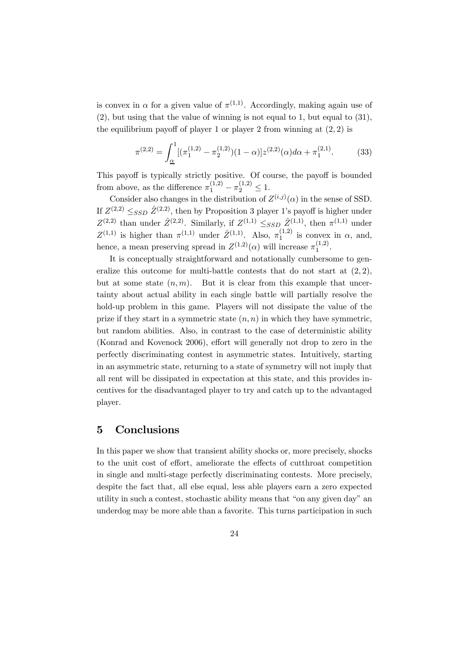is convex in  $\alpha$  for a given value of  $\pi^{(1,1)}$ . Accordingly, making again use of (2), but using that the value of winning is not equal to 1, but equal to (31), the equilibrium payoff of player 1 or player 2 from winning at  $(2, 2)$  is

$$
\pi^{(2,2)} = \int_{\underline{\alpha}}^{1} [(\pi_1^{(1,2)} - \pi_2^{(1,2)})(1-\alpha)] z^{(2,2)}(\alpha) d\alpha + \pi_1^{(2,1)}.
$$
 (33)

This payoff is typically strictly positive. Of course, the payoff is bounded from above, as the difference  $\pi_1^{(1,2)} - \pi_2^{(1,2)} \leq 1$ .

Consider also changes in the distribution of  $Z^{(i,j)}(\alpha)$  in the sense of SSD. If  $Z^{(2,2)} \leq_{SSD} \hat{Z}^{(2,2)}$ , then by Proposition 3 player 1's payoff is higher under  $Z^{(2,2)}$  than under  $\hat{Z}^{(2,2)}$ . Similarly, if  $Z^{(1,1)} \leq_{SSD} \hat{Z}^{(1,1)}$ , then  $\pi^{(1,1)}$  under  $Z^{(1,1)}$  is higher than  $\pi^{(1,1)}$  under  $\hat{Z}^{(1,1)}$ . Also,  $\pi_1^{(1,2)}$  is convex in  $\alpha$ , and, hence, a mean preserving spread in  $Z^{(1,2)}(\alpha)$  will increase  $\pi_1^{(1,2)}$ .

It is conceptually straightforward and notationally cumbersome to generalize this outcome for multi-battle contests that do not start at  $(2, 2)$ , but at some state  $(n, m)$ . But it is clear from this example that uncertainty about actual ability in each single battle will partially resolve the hold-up problem in this game. Players will not dissipate the value of the prize if they start in a symmetric state  $(n, n)$  in which they have symmetric, but random abilities. Also, in contrast to the case of deterministic ability (Konrad and Kovenock 2006), effort will generally not drop to zero in the perfectly discriminating contest in asymmetric states. Intuitively, starting in an asymmetric state, returning to a state of symmetry will not imply that all rent will be dissipated in expectation at this state, and this provides incentives for the disadvantaged player to try and catch up to the advantaged player.

#### 5 Conclusions

In this paper we show that transient ability shocks or, more precisely, shocks to the unit cost of effort, ameliorate the effects of cutthroat competition in single and multi-stage perfectly discriminating contests. More precisely, despite the fact that, all else equal, less able players earn a zero expected utility in such a contest, stochastic ability means that "on any given day" an underdog may be more able than a favorite. This turns participation in such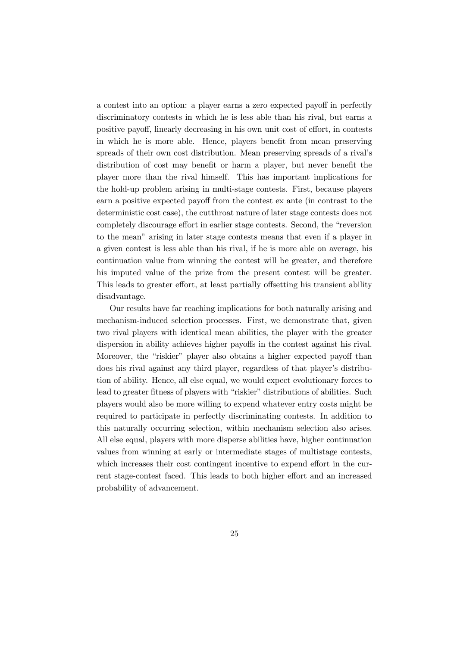a contest into an option: a player earns a zero expected payoff in perfectly discriminatory contests in which he is less able than his rival, but earns a positive payoff, linearly decreasing in his own unit cost of effort, in contests in which he is more able. Hence, players benefit from mean preserving spreads of their own cost distribution. Mean preserving spreads of a rival's distribution of cost may benefit or harm a player, but never benefit the player more than the rival himself. This has important implications for the hold-up problem arising in multi-stage contests. First, because players earn a positive expected payoff from the contest ex ante (in contrast to the deterministic cost case), the cutthroat nature of later stage contests does not completely discourage effort in earlier stage contests. Second, the "reversion to the mean" arising in later stage contests means that even if a player in a given contest is less able than his rival, if he is more able on average, his continuation value from winning the contest will be greater, and therefore his imputed value of the prize from the present contest will be greater. This leads to greater effort, at least partially offsetting his transient ability disadvantage.

Our results have far reaching implications for both naturally arising and mechanism-induced selection processes. First, we demonstrate that, given two rival players with identical mean abilities, the player with the greater dispersion in ability achieves higher payoffs in the contest against his rival. Moreover, the "riskier" player also obtains a higher expected payoff than does his rival against any third player, regardless of that player's distribution of ability. Hence, all else equal, we would expect evolutionary forces to lead to greater fitness of players with "riskier" distributions of abilities. Such players would also be more willing to expend whatever entry costs might be required to participate in perfectly discriminating contests. In addition to this naturally occurring selection, within mechanism selection also arises. All else equal, players with more disperse abilities have, higher continuation values from winning at early or intermediate stages of multistage contests, which increases their cost contingent incentive to expend effort in the current stage-contest faced. This leads to both higher effort and an increased probability of advancement.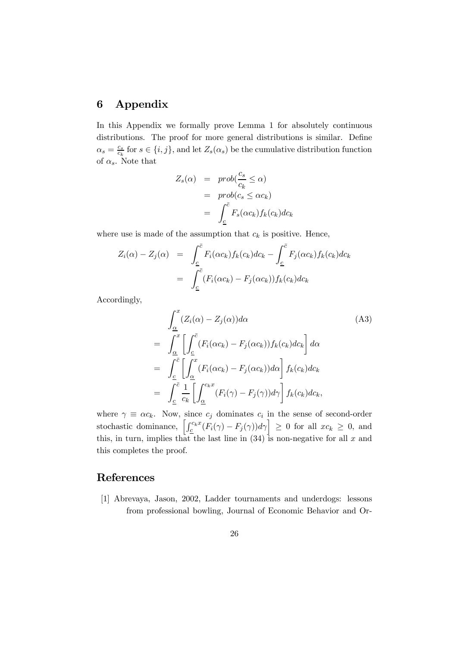#### 6 Appendix

In this Appendix we formally prove Lemma 1 for absolutely continuous distributions. The proof for more general distributions is similar. Define  $\alpha_s = \frac{c_s}{c_k}$  for  $s \in \{i, j\}$ , and let  $Z_s(\alpha_s)$  be the cumulative distribution function of  $\alpha_s$ . Note that

$$
Z_s(\alpha) = prob(\frac{c_s}{c_k} \le \alpha)
$$
  
=  $prob(c_s \le \alpha c_k)$   
=  $\int_{\underline{c}}^{\overline{c}} F_s(\alpha c_k) f_k(c_k) dc_k$ 

where use is made of the assumption that  $c_k$  is positive. Hence,

$$
Z_i(\alpha) - Z_j(\alpha) = \int_{\underline{c}}^{\overline{c}} F_i(\alpha c_k) f_k(c_k) dc_k - \int_{\underline{c}}^{\overline{c}} F_j(\alpha c_k) f_k(c_k) dc_k
$$

$$
= \int_{\underline{c}}^{\overline{c}} (F_i(\alpha c_k) - F_j(\alpha c_k)) f_k(c_k) dc_k
$$

Accordingly,

$$
\int_{\underline{\alpha}}^{x} (Z_i(\alpha) - Z_j(\alpha)) d\alpha \qquad (A3)
$$
\n
$$
= \int_{\underline{\alpha}}^{x} \left[ \int_{\underline{c}}^{\overline{c}} (F_i(\alpha c_k) - F_j(\alpha c_k)) f_k(c_k) d c_k \right] d\alpha
$$
\n
$$
= \int_{\underline{c}}^{\overline{c}} \left[ \int_{\underline{\alpha}}^{x} (F_i(\alpha c_k) - F_j(\alpha c_k)) d\alpha \right] f_k(c_k) d c_k
$$
\n
$$
= \int_{\underline{c}}^{\overline{c}} \frac{1}{c_k} \left[ \int_{\underline{\alpha}}^{c_k x} (F_i(\gamma) - F_j(\gamma)) d\gamma \right] f_k(c_k) d c_k,
$$

where  $\gamma \equiv \alpha c_k$ . Now, since  $c_j$  dominates  $c_i$  in the sense of second-order stochastic dominance,  $\left[\int_{\underline{c}}^{c_kx} (F_i(\gamma) - F_j(\gamma))d\gamma\right] \geq 0$  for all  $xc_k \geq 0$ , and this, in turn, implies that the last line in  $(34)$  is non-negative for all x and this completes the proof.

#### References

[1] Abrevaya, Jason, 2002, Ladder tournaments and underdogs: lessons from professional bowling, Journal of Economic Behavior and Or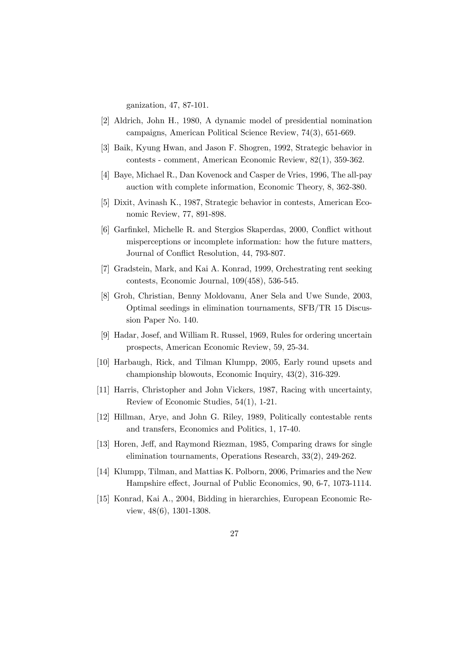ganization, 47, 87-101.

- [2] Aldrich, John H., 1980, A dynamic model of presidential nomination campaigns, American Political Science Review, 74(3), 651-669.
- [3] Baik, Kyung Hwan, and Jason F. Shogren, 1992, Strategic behavior in contests - comment, American Economic Review, 82(1), 359-362.
- [4] Baye, Michael R., Dan Kovenock and Casper de Vries, 1996, The all-pay auction with complete information, Economic Theory, 8, 362-380.
- [5] Dixit, Avinash K., 1987, Strategic behavior in contests, American Economic Review, 77, 891-898.
- [6] Garfinkel, Michelle R. and Stergios Skaperdas, 2000, Conflict without misperceptions or incomplete information: how the future matters, Journal of Conflict Resolution, 44, 793-807.
- [7] Gradstein, Mark, and Kai A. Konrad, 1999, Orchestrating rent seeking contests, Economic Journal, 109(458), 536-545.
- [8] Groh, Christian, Benny Moldovanu, Aner Sela and Uwe Sunde, 2003, Optimal seedings in elimination tournaments, SFB/TR 15 Discussion Paper No. 140.
- [9] Hadar, Josef, and William R. Russel, 1969, Rules for ordering uncertain prospects, American Economic Review, 59, 25-34.
- [10] Harbaugh, Rick, and Tilman Klumpp, 2005, Early round upsets and championship blowouts, Economic Inquiry, 43(2), 316-329.
- [11] Harris, Christopher and John Vickers, 1987, Racing with uncertainty, Review of Economic Studies, 54(1), 1-21.
- [12] Hillman, Arye, and John G. Riley, 1989, Politically contestable rents and transfers, Economics and Politics, 1, 17-40.
- [13] Horen, Jeff, and Raymond Riezman, 1985, Comparing draws for single elimination tournaments, Operations Research, 33(2), 249-262.
- [14] Klumpp, Tilman, and Mattias K. Polborn, 2006, Primaries and the New Hampshire effect, Journal of Public Economics, 90, 6-7, 1073-1114.
- [15] Konrad, Kai A., 2004, Bidding in hierarchies, European Economic Review, 48(6), 1301-1308.